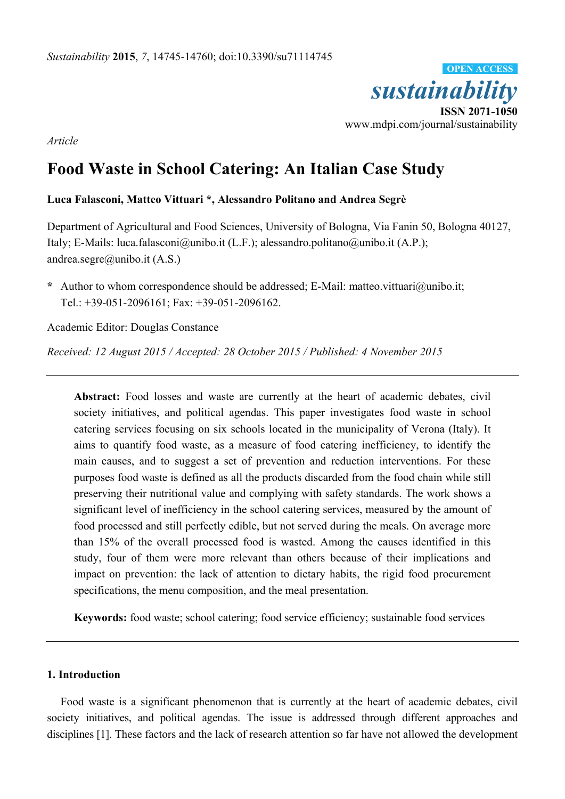

*Article* 

# **Food Waste in School Catering: An Italian Case Study**

# **Luca Falasconi, Matteo Vittuari \*, Alessandro Politano and Andrea Segrè**

Department of Agricultural and Food Sciences, University of Bologna, Via Fanin 50, Bologna 40127, Italy; E-Mails: luca.falasconi@unibo.it (L.F.); alessandro.politano@unibo.it (A.P.); andrea.segre@unibo.it (A.S.)

**\*** Author to whom correspondence should be addressed; E-Mail: matteo.vittuari@unibo.it; Tel.: +39-051-2096161; Fax: +39-051-2096162.

Academic Editor: Douglas Constance

*Received: 12 August 2015 / Accepted: 28 October 2015 / Published: 4 November 2015* 

**Abstract:** Food losses and waste are currently at the heart of academic debates, civil society initiatives, and political agendas. This paper investigates food waste in school catering services focusing on six schools located in the municipality of Verona (Italy). It aims to quantify food waste, as a measure of food catering inefficiency, to identify the main causes, and to suggest a set of prevention and reduction interventions. For these purposes food waste is defined as all the products discarded from the food chain while still preserving their nutritional value and complying with safety standards. The work shows a significant level of inefficiency in the school catering services, measured by the amount of food processed and still perfectly edible, but not served during the meals. On average more than 15% of the overall processed food is wasted. Among the causes identified in this study, four of them were more relevant than others because of their implications and impact on prevention: the lack of attention to dietary habits, the rigid food procurement specifications, the menu composition, and the meal presentation.

**Keywords:** food waste; school catering; food service efficiency; sustainable food services

## **1. Introduction**

Food waste is a significant phenomenon that is currently at the heart of academic debates, civil society initiatives, and political agendas. The issue is addressed through different approaches and disciplines [1]. These factors and the lack of research attention so far have not allowed the development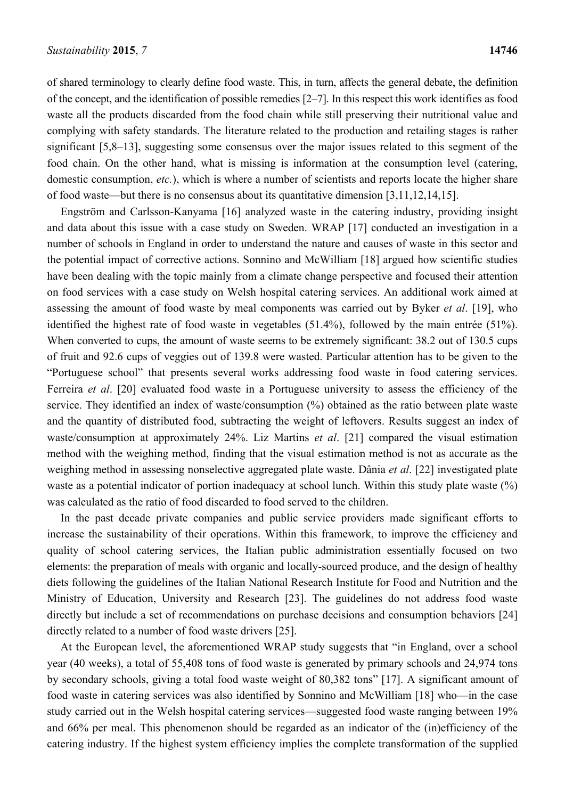of shared terminology to clearly define food waste. This, in turn, affects the general debate, the definition of the concept, and the identification of possible remedies [2–7]. In this respect this work identifies as food waste all the products discarded from the food chain while still preserving their nutritional value and complying with safety standards. The literature related to the production and retailing stages is rather significant [5,8–13], suggesting some consensus over the major issues related to this segment of the food chain. On the other hand, what is missing is information at the consumption level (catering, domestic consumption, *etc.*), which is where a number of scientists and reports locate the higher share of food waste—but there is no consensus about its quantitative dimension [3,11,12,14,15].

Engström and Carlsson-Kanyama [16] analyzed waste in the catering industry, providing insight and data about this issue with a case study on Sweden. WRAP [17] conducted an investigation in a number of schools in England in order to understand the nature and causes of waste in this sector and the potential impact of corrective actions. Sonnino and McWilliam [18] argued how scientific studies have been dealing with the topic mainly from a climate change perspective and focused their attention on food services with a case study on Welsh hospital catering services. An additional work aimed at assessing the amount of food waste by meal components was carried out by Byker *et al*. [19], who identified the highest rate of food waste in vegetables (51.4%), followed by the main entrée (51%). When converted to cups, the amount of waste seems to be extremely significant: 38.2 out of 130.5 cups of fruit and 92.6 cups of veggies out of 139.8 were wasted. Particular attention has to be given to the "Portuguese school" that presents several works addressing food waste in food catering services. Ferreira *et al*. [20] evaluated food waste in a Portuguese university to assess the efficiency of the service. They identified an index of waste/consumption (%) obtained as the ratio between plate waste and the quantity of distributed food, subtracting the weight of leftovers. Results suggest an index of waste/consumption at approximately 24%. Liz Martins *et al*. [21] compared the visual estimation method with the weighing method, finding that the visual estimation method is not as accurate as the weighing method in assessing nonselective aggregated plate waste. Dânia *et al*. [22] investigated plate waste as a potential indicator of portion inadequacy at school lunch. Within this study plate waste (%) was calculated as the ratio of food discarded to food served to the children.

In the past decade private companies and public service providers made significant efforts to increase the sustainability of their operations. Within this framework, to improve the efficiency and quality of school catering services, the Italian public administration essentially focused on two elements: the preparation of meals with organic and locally-sourced produce, and the design of healthy diets following the guidelines of the Italian National Research Institute for Food and Nutrition and the Ministry of Education, University and Research [23]. The guidelines do not address food waste directly but include a set of recommendations on purchase decisions and consumption behaviors [24] directly related to a number of food waste drivers [25].

At the European level, the aforementioned WRAP study suggests that "in England, over a school year (40 weeks), a total of 55,408 tons of food waste is generated by primary schools and 24,974 tons by secondary schools, giving a total food waste weight of 80,382 tons" [17]. A significant amount of food waste in catering services was also identified by Sonnino and McWilliam [18] who––in the case study carried out in the Welsh hospital catering services––suggested food waste ranging between 19% and 66% per meal. This phenomenon should be regarded as an indicator of the (in)efficiency of the catering industry. If the highest system efficiency implies the complete transformation of the supplied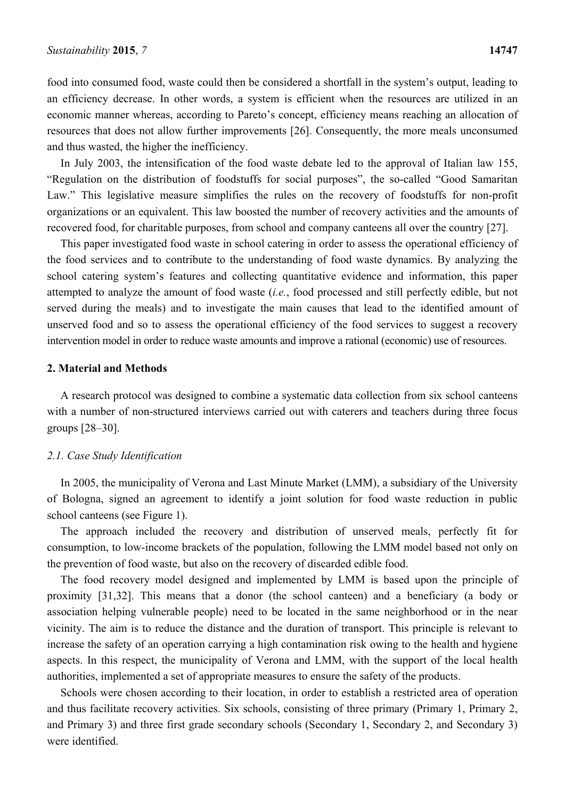food into consumed food, waste could then be considered a shortfall in the system's output, leading to an efficiency decrease. In other words, a system is efficient when the resources are utilized in an economic manner whereas, according to Pareto's concept, efficiency means reaching an allocation of resources that does not allow further improvements [26]. Consequently, the more meals unconsumed and thus wasted, the higher the inefficiency.

In July 2003, the intensification of the food waste debate led to the approval of Italian law 155, "Regulation on the distribution of foodstuffs for social purposes", the so-called "Good Samaritan Law." This legislative measure simplifies the rules on the recovery of foodstuffs for non-profit organizations or an equivalent. This law boosted the number of recovery activities and the amounts of recovered food, for charitable purposes, from school and company canteens all over the country [27].

This paper investigated food waste in school catering in order to assess the operational efficiency of the food services and to contribute to the understanding of food waste dynamics. By analyzing the school catering system's features and collecting quantitative evidence and information, this paper attempted to analyze the amount of food waste (*i.e.*, food processed and still perfectly edible, but not served during the meals) and to investigate the main causes that lead to the identified amount of unserved food and so to assess the operational efficiency of the food services to suggest a recovery intervention model in order to reduce waste amounts and improve a rational (economic) use of resources.

## **2. Material and Methods**

A research protocol was designed to combine a systematic data collection from six school canteens with a number of non-structured interviews carried out with caterers and teachers during three focus groups [28–30].

#### *2.1. Case Study Identification*

In 2005, the municipality of Verona and Last Minute Market (LMM), a subsidiary of the University of Bologna, signed an agreement to identify a joint solution for food waste reduction in public school canteens (see Figure 1).

The approach included the recovery and distribution of unserved meals, perfectly fit for consumption, to low-income brackets of the population, following the LMM model based not only on the prevention of food waste, but also on the recovery of discarded edible food.

The food recovery model designed and implemented by LMM is based upon the principle of proximity [31,32]. This means that a donor (the school canteen) and a beneficiary (a body or association helping vulnerable people) need to be located in the same neighborhood or in the near vicinity. The aim is to reduce the distance and the duration of transport. This principle is relevant to increase the safety of an operation carrying a high contamination risk owing to the health and hygiene aspects. In this respect, the municipality of Verona and LMM, with the support of the local health authorities, implemented a set of appropriate measures to ensure the safety of the products.

Schools were chosen according to their location, in order to establish a restricted area of operation and thus facilitate recovery activities. Six schools, consisting of three primary (Primary 1, Primary 2, and Primary 3) and three first grade secondary schools (Secondary 1, Secondary 2, and Secondary 3) were identified.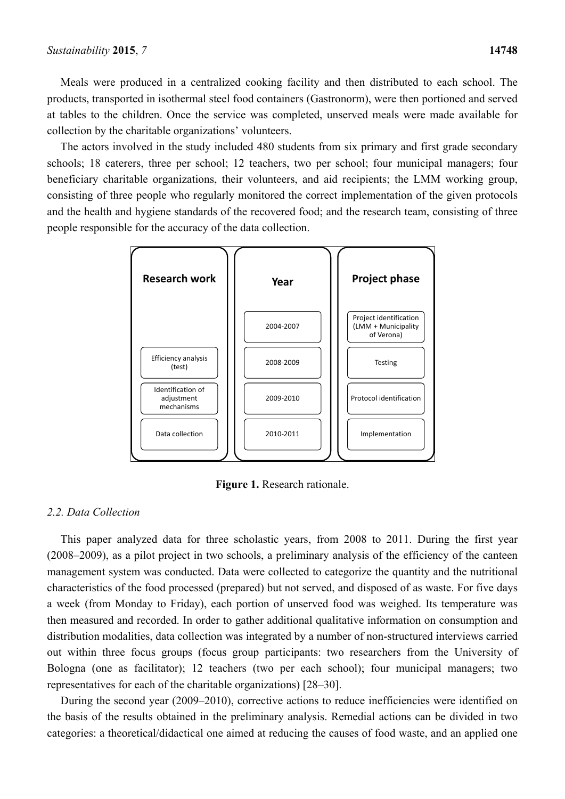Meals were produced in a centralized cooking facility and then distributed to each school. The products, transported in isothermal steel food containers (Gastronorm), were then portioned and served at tables to the children. Once the service was completed, unserved meals were made available for collection by the charitable organizations' volunteers.

The actors involved in the study included 480 students from six primary and first grade secondary schools; 18 caterers, three per school; 12 teachers, two per school; four municipal managers; four beneficiary charitable organizations, their volunteers, and aid recipients; the LMM working group, consisting of three people who regularly monitored the correct implementation of the given protocols and the health and hygiene standards of the recovered food; and the research team, consisting of three people responsible for the accuracy of the data collection.



**Figure 1.** Research rationale.

## *2.2. Data Collection*

This paper analyzed data for three scholastic years, from 2008 to 2011. During the first year (2008–2009), as a pilot project in two schools, a preliminary analysis of the efficiency of the canteen management system was conducted. Data were collected to categorize the quantity and the nutritional characteristics of the food processed (prepared) but not served, and disposed of as waste. For five days a week (from Monday to Friday), each portion of unserved food was weighed. Its temperature was then measured and recorded. In order to gather additional qualitative information on consumption and distribution modalities, data collection was integrated by a number of non-structured interviews carried out within three focus groups (focus group participants: two researchers from the University of Bologna (one as facilitator); 12 teachers (two per each school); four municipal managers; two representatives for each of the charitable organizations) [28–30].

During the second year (2009–2010), corrective actions to reduce inefficiencies were identified on the basis of the results obtained in the preliminary analysis. Remedial actions can be divided in two categories: a theoretical/didactical one aimed at reducing the causes of food waste, and an applied one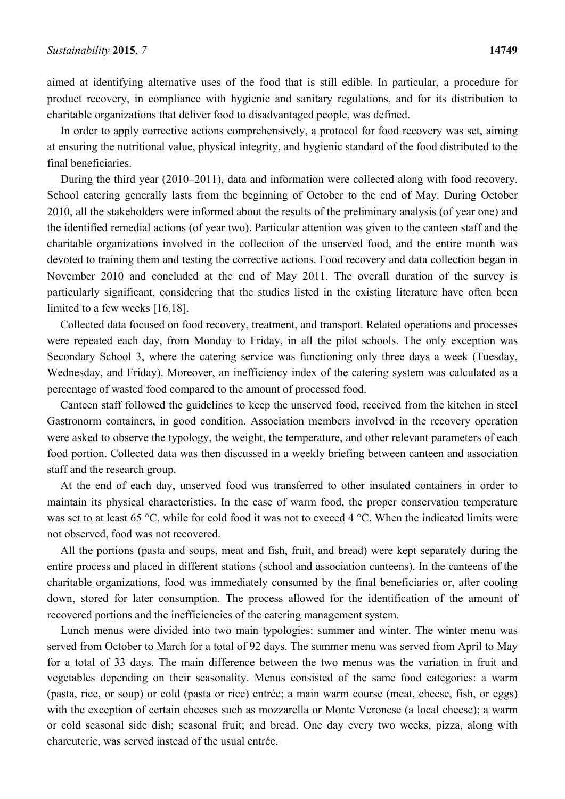aimed at identifying alternative uses of the food that is still edible. In particular, a procedure for product recovery, in compliance with hygienic and sanitary regulations, and for its distribution to charitable organizations that deliver food to disadvantaged people, was defined.

In order to apply corrective actions comprehensively, a protocol for food recovery was set, aiming at ensuring the nutritional value, physical integrity, and hygienic standard of the food distributed to the final beneficiaries.

During the third year (2010–2011), data and information were collected along with food recovery. School catering generally lasts from the beginning of October to the end of May. During October 2010, all the stakeholders were informed about the results of the preliminary analysis (of year one) and the identified remedial actions (of year two). Particular attention was given to the canteen staff and the charitable organizations involved in the collection of the unserved food, and the entire month was devoted to training them and testing the corrective actions. Food recovery and data collection began in November 2010 and concluded at the end of May 2011. The overall duration of the survey is particularly significant, considering that the studies listed in the existing literature have often been limited to a few weeks [16,18].

Collected data focused on food recovery, treatment, and transport. Related operations and processes were repeated each day, from Monday to Friday, in all the pilot schools. The only exception was Secondary School 3, where the catering service was functioning only three days a week (Tuesday, Wednesday, and Friday). Moreover, an inefficiency index of the catering system was calculated as a percentage of wasted food compared to the amount of processed food.

Canteen staff followed the guidelines to keep the unserved food, received from the kitchen in steel Gastronorm containers, in good condition. Association members involved in the recovery operation were asked to observe the typology, the weight, the temperature, and other relevant parameters of each food portion. Collected data was then discussed in a weekly briefing between canteen and association staff and the research group.

At the end of each day, unserved food was transferred to other insulated containers in order to maintain its physical characteristics. In the case of warm food, the proper conservation temperature was set to at least 65 °C, while for cold food it was not to exceed 4 °C. When the indicated limits were not observed, food was not recovered.

All the portions (pasta and soups, meat and fish, fruit, and bread) were kept separately during the entire process and placed in different stations (school and association canteens). In the canteens of the charitable organizations, food was immediately consumed by the final beneficiaries or, after cooling down, stored for later consumption. The process allowed for the identification of the amount of recovered portions and the inefficiencies of the catering management system.

Lunch menus were divided into two main typologies: summer and winter. The winter menu was served from October to March for a total of 92 days. The summer menu was served from April to May for a total of 33 days. The main difference between the two menus was the variation in fruit and vegetables depending on their seasonality. Menus consisted of the same food categories: a warm (pasta, rice, or soup) or cold (pasta or rice) entrée; a main warm course (meat, cheese, fish, or eggs) with the exception of certain cheeses such as mozzarella or Monte Veronese (a local cheese); a warm or cold seasonal side dish; seasonal fruit; and bread. One day every two weeks, pizza, along with charcuterie, was served instead of the usual entrée.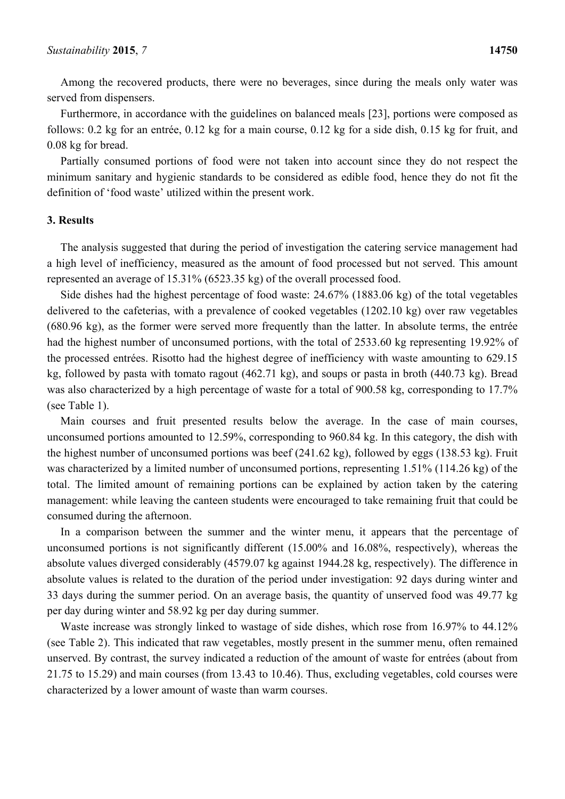Among the recovered products, there were no beverages, since during the meals only water was served from dispensers.

Furthermore, in accordance with the guidelines on balanced meals [23], portions were composed as follows: 0.2 kg for an entrée, 0.12 kg for a main course, 0.12 kg for a side dish, 0.15 kg for fruit, and 0.08 kg for bread.

Partially consumed portions of food were not taken into account since they do not respect the minimum sanitary and hygienic standards to be considered as edible food, hence they do not fit the definition of 'food waste' utilized within the present work.

#### **3. Results**

The analysis suggested that during the period of investigation the catering service management had a high level of inefficiency, measured as the amount of food processed but not served. This amount represented an average of 15.31% (6523.35 kg) of the overall processed food.

Side dishes had the highest percentage of food waste: 24.67% (1883.06 kg) of the total vegetables delivered to the cafeterias, with a prevalence of cooked vegetables (1202.10 kg) over raw vegetables (680.96 kg), as the former were served more frequently than the latter. In absolute terms, the entrée had the highest number of unconsumed portions, with the total of 2533.60 kg representing 19.92% of the processed entrées. Risotto had the highest degree of inefficiency with waste amounting to 629.15 kg, followed by pasta with tomato ragout (462.71 kg), and soups or pasta in broth (440.73 kg). Bread was also characterized by a high percentage of waste for a total of 900.58 kg, corresponding to 17.7% (see Table 1).

Main courses and fruit presented results below the average. In the case of main courses, unconsumed portions amounted to 12.59%, corresponding to 960.84 kg. In this category, the dish with the highest number of unconsumed portions was beef (241.62 kg), followed by eggs (138.53 kg). Fruit was characterized by a limited number of unconsumed portions, representing 1.51% (114.26 kg) of the total. The limited amount of remaining portions can be explained by action taken by the catering management: while leaving the canteen students were encouraged to take remaining fruit that could be consumed during the afternoon.

In a comparison between the summer and the winter menu, it appears that the percentage of unconsumed portions is not significantly different (15.00% and 16.08%, respectively), whereas the absolute values diverged considerably (4579.07 kg against 1944.28 kg, respectively). The difference in absolute values is related to the duration of the period under investigation: 92 days during winter and 33 days during the summer period. On an average basis, the quantity of unserved food was 49.77 kg per day during winter and 58.92 kg per day during summer.

Waste increase was strongly linked to wastage of side dishes, which rose from 16.97% to 44.12% (see Table 2). This indicated that raw vegetables, mostly present in the summer menu, often remained unserved. By contrast, the survey indicated a reduction of the amount of waste for entrées (about from 21.75 to 15.29) and main courses (from 13.43 to 10.46). Thus, excluding vegetables, cold courses were characterized by a lower amount of waste than warm courses.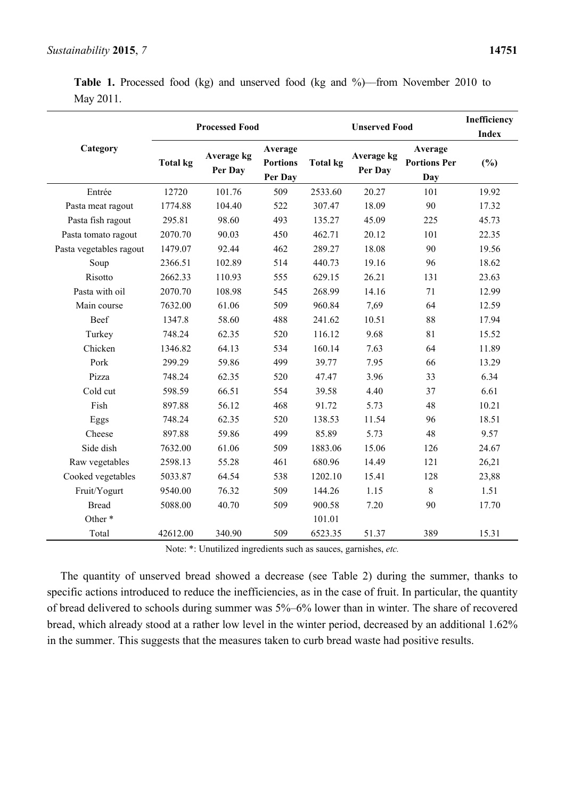**Table 1.** Processed food (kg) and unserved food (kg and %)––from November 2010 to May 2011.

|                         |                 | <b>Processed Food</b> |                                       |                 | Inefficiency<br><b>Index</b> |                                              |       |
|-------------------------|-----------------|-----------------------|---------------------------------------|-----------------|------------------------------|----------------------------------------------|-------|
| Category                | <b>Total kg</b> | Average kg<br>Per Day | Average<br><b>Portions</b><br>Per Day | <b>Total kg</b> | Average kg<br>Per Day        | Average<br><b>Portions Per</b><br><b>Day</b> | (%)   |
| Entrée                  | 12720           | 101.76                | 509                                   | 2533.60         | 20.27                        | 101                                          | 19.92 |
| Pasta meat ragout       | 1774.88         | 104.40                | 522                                   | 307.47          | 18.09                        | 90                                           | 17.32 |
| Pasta fish ragout       | 295.81          | 98.60                 | 493                                   | 135.27          | 45.09                        | 225                                          | 45.73 |
| Pasta tomato ragout     | 2070.70         | 90.03                 | 450                                   | 462.71          | 20.12                        | 101                                          | 22.35 |
| Pasta vegetables ragout | 1479.07         | 92.44                 | 462                                   | 289.27          | 18.08                        | 90                                           | 19.56 |
| Soup                    | 2366.51         | 102.89                | 514                                   | 440.73          | 19.16                        | 96                                           | 18.62 |
| Risotto                 | 2662.33         | 110.93                | 555                                   | 629.15          | 26.21                        | 131                                          | 23.63 |
| Pasta with oil          | 2070.70         | 108.98                | 545                                   | 268.99          | 14.16                        | 71                                           | 12.99 |
| Main course             | 7632.00         | 61.06                 | 509                                   | 960.84          | 7,69                         | 64                                           | 12.59 |
| Beef                    | 1347.8          | 58.60                 | 488                                   | 241.62          | 10.51                        | 88                                           | 17.94 |
| Turkey                  | 748.24          | 62.35                 | 520                                   | 116.12          | 9.68                         | 81                                           | 15.52 |
| Chicken                 | 1346.82         | 64.13                 | 534                                   | 160.14          | 7.63                         | 64                                           | 11.89 |
| Pork                    | 299.29          | 59.86                 | 499                                   | 39.77           | 7.95                         | 66                                           | 13.29 |
| Pizza                   | 748.24          | 62.35                 | 520                                   | 47.47           | 3.96                         | 33                                           | 6.34  |
| Cold cut                | 598.59          | 66.51                 | 554                                   | 39.58           | 4.40                         | 37                                           | 6.61  |
| Fish                    | 897.88          | 56.12                 | 468                                   | 91.72           | 5.73                         | 48                                           | 10.21 |
| Eggs                    | 748.24          | 62.35                 | 520                                   | 138.53          | 11.54                        | 96                                           | 18.51 |
| Cheese                  | 897.88          | 59.86                 | 499                                   | 85.89           | 5.73                         | 48                                           | 9.57  |
| Side dish               | 7632.00         | 61.06                 | 509                                   | 1883.06         | 15.06                        | 126                                          | 24.67 |
| Raw vegetables          | 2598.13         | 55.28                 | 461                                   | 680.96          | 14.49                        | 121                                          | 26,21 |
| Cooked vegetables       | 5033.87         | 64.54                 | 538                                   | 1202.10         | 15.41                        | 128                                          | 23,88 |
| Fruit/Yogurt            | 9540.00         | 76.32                 | 509                                   | 144.26          | 1.15                         | $8\,$                                        | 1.51  |
| <b>Bread</b>            | 5088.00         | 40.70                 | 509                                   | 900.58          | 7.20                         | 90                                           | 17.70 |
| Other*                  |                 |                       |                                       | 101.01          |                              |                                              |       |
| Total                   | 42612.00        | 340.90                | 509                                   | 6523.35         | 51.37                        | 389                                          | 15.31 |

Note: \*: Unutilized ingredients such as sauces, garnishes, *etc.*

The quantity of unserved bread showed a decrease (see Table 2) during the summer, thanks to specific actions introduced to reduce the inefficiencies, as in the case of fruit. In particular, the quantity of bread delivered to schools during summer was 5%–6% lower than in winter. The share of recovered bread, which already stood at a rather low level in the winter period, decreased by an additional 1.62% in the summer. This suggests that the measures taken to curb bread waste had positive results.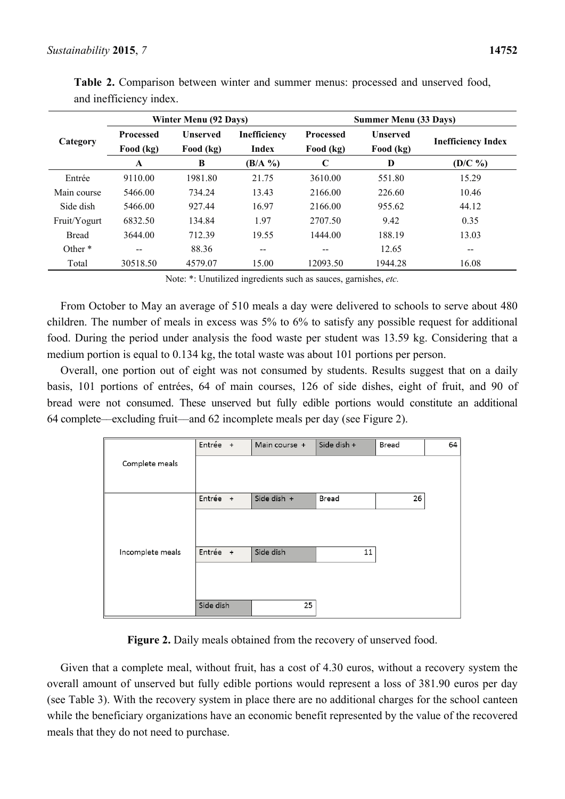|              |                               | Winter Menu (92 Days)        | <b>Summer Menu (33 Days)</b> |                               |                              |                           |
|--------------|-------------------------------|------------------------------|------------------------------|-------------------------------|------------------------------|---------------------------|
| Category     | <b>Processed</b><br>Food (kg) | <b>Unserved</b><br>Food (kg) | Inefficiency<br>Index        | <b>Processed</b><br>Food (kg) | <b>Unserved</b><br>Food (kg) | <b>Inefficiency Index</b> |
|              | A                             | B                            | $(B/A \%)$                   | $\mathbf C$                   | D                            | $(D/C \%)$                |
| Entrée       | 9110.00                       | 1981.80                      | 21.75                        | 3610.00                       | 551.80                       | 15.29                     |
| Main course  | 5466.00                       | 734.24                       | 13.43                        | 2166.00                       | 226.60                       | 10.46                     |
| Side dish    | 5466.00                       | 927.44                       | 16.97                        | 2166.00                       | 955.62                       | 44.12                     |
| Fruit/Yogurt | 6832.50                       | 134.84                       | 1.97                         | 2707.50                       | 9.42                         | 0.35                      |
| <b>Bread</b> | 3644.00                       | 712.39                       | 19.55                        | 1444.00                       | 188.19                       | 13.03                     |
| Other *      | $\overline{\phantom{m}}$      | 88.36                        | --                           | --                            | 12.65                        | $- -$                     |
| Total        | 30518.50                      | 4579.07                      | 15.00                        | 12093.50                      | 1944.28                      | 16.08                     |

**Table 2.** Comparison between winter and summer menus: processed and unserved food, and inefficiency index.

Note: \*: Unutilized ingredients such as sauces, garnishes, *etc.*

From October to May an average of 510 meals a day were delivered to schools to serve about 480 children. The number of meals in excess was 5% to 6% to satisfy any possible request for additional food. During the period under analysis the food waste per student was 13.59 kg. Considering that a medium portion is equal to 0.134 kg, the total waste was about 101 portions per person.

Overall, one portion out of eight was not consumed by students. Results suggest that on a daily basis, 101 portions of entrées, 64 of main courses, 126 of side dishes, eight of fruit, and 90 of bread were not consumed. These unserved but fully edible portions would constitute an additional 64 complete––excluding fruit––and 62 incomplete meals per day (see Figure 2).

|                  | Entrée +  | Main course + | Side dish + | Bread | 64 |
|------------------|-----------|---------------|-------------|-------|----|
| Complete meals   |           |               |             |       |    |
|                  | Entrée +  | Side dish +   | Bread       | 26    |    |
|                  |           |               |             |       |    |
| Incomplete meals | Entrée +  | Side dish     | 11          |       |    |
|                  |           |               |             |       |    |
|                  | Side dish | 25            |             |       |    |

**Figure 2.** Daily meals obtained from the recovery of unserved food.

Given that a complete meal, without fruit, has a cost of 4.30 euros, without a recovery system the overall amount of unserved but fully edible portions would represent a loss of 381.90 euros per day (see Table 3). With the recovery system in place there are no additional charges for the school canteen while the beneficiary organizations have an economic benefit represented by the value of the recovered meals that they do not need to purchase.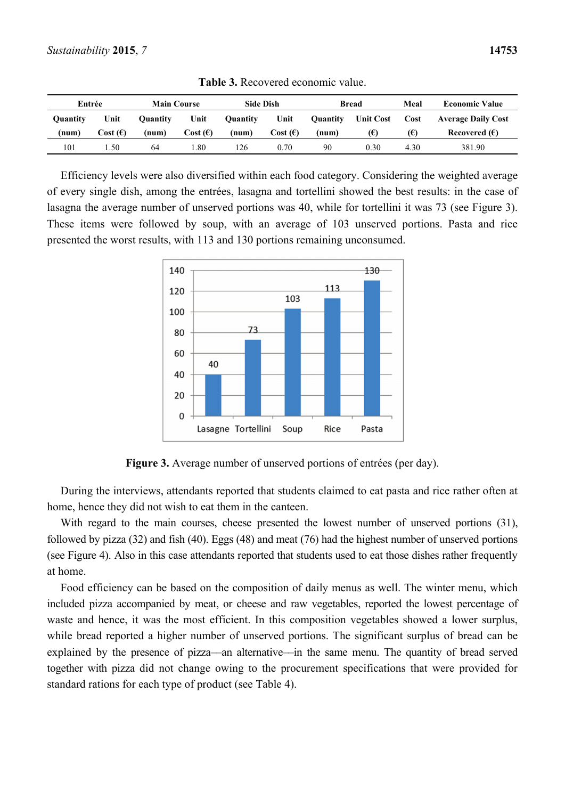| Entrée   |          | <b>Main Course</b> |                   | <b>Side Dish</b> |          |          | <b>Bread</b>     | Meal | <b>Economic Value</b>     |
|----------|----------|--------------------|-------------------|------------------|----------|----------|------------------|------|---------------------------|
| Ouantitv | Unit     | <b>Ouantity</b>    | Unit              | <b>Ouantity</b>  | Unit     | Ouantity | <b>Unit Cost</b> | Cost | <b>Average Daily Cost</b> |
| (num)    | Cost (E) | (num)              | Cost $(\epsilon)$ | (num)            | Cost (E) | (num)    | (E)              | (E)  | Recovered $(E)$           |
| 101      | .50      | 64                 | l.80              | .26              | 0.70     | 90       | 0.30             | 4.30 | 381.90                    |

**Table 3.** Recovered economic value.

Efficiency levels were also diversified within each food category. Considering the weighted average of every single dish, among the entrées, lasagna and tortellini showed the best results: in the case of lasagna the average number of unserved portions was 40, while for tortellini it was 73 (see Figure 3). These items were followed by soup, with an average of 103 unserved portions. Pasta and rice presented the worst results, with 113 and 130 portions remaining unconsumed.



**Figure 3.** Average number of unserved portions of entrées (per day).

During the interviews, attendants reported that students claimed to eat pasta and rice rather often at home, hence they did not wish to eat them in the canteen.

With regard to the main courses, cheese presented the lowest number of unserved portions (31), followed by pizza (32) and fish (40). Eggs (48) and meat (76) had the highest number of unserved portions (see Figure 4). Also in this case attendants reported that students used to eat those dishes rather frequently at home.

Food efficiency can be based on the composition of daily menus as well. The winter menu, which included pizza accompanied by meat, or cheese and raw vegetables, reported the lowest percentage of waste and hence, it was the most efficient. In this composition vegetables showed a lower surplus, while bread reported a higher number of unserved portions. The significant surplus of bread can be explained by the presence of pizza––an alternative––in the same menu. The quantity of bread served together with pizza did not change owing to the procurement specifications that were provided for standard rations for each type of product (see Table 4).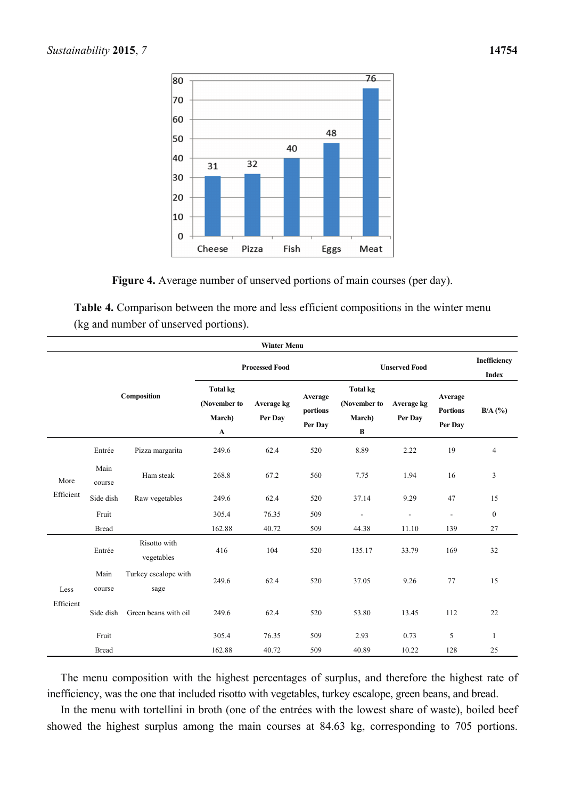



**Table 4.** Comparison between the more and less efficient compositions in the winter menu (kg and number of unserved portions).

|             |                |                                                          |                       | <b>Winter Menu</b>             |                                                |                       |                                       |                |                  |  |
|-------------|----------------|----------------------------------------------------------|-----------------------|--------------------------------|------------------------------------------------|-----------------------|---------------------------------------|----------------|------------------|--|
|             |                |                                                          |                       | <b>Processed Food</b>          |                                                |                       | <b>Unserved Food</b>                  |                |                  |  |
| Composition |                | <b>Total kg</b><br>(November to<br>March)<br>$\mathbf A$ | Average kg<br>Per Day | Average<br>portions<br>Per Day | <b>Total kg</b><br>(November to<br>March)<br>B | Average kg<br>Per Day | Average<br><b>Portions</b><br>Per Day | $B/A$ (%)      |                  |  |
|             | Entrée         | Pizza margarita                                          | 249.6                 | 62.4                           | 520                                            | 8.89                  | 2.22                                  | 19             | $\overline{4}$   |  |
| More        | Main<br>course | Ham steak                                                | 268.8                 | 67.2                           | 560                                            | 7.75                  | 1.94                                  | 16             | 3                |  |
| Efficient   | Side dish      | Raw vegetables                                           | 249.6                 | 62.4                           | 520                                            | 37.14                 | 9.29                                  | 47             | 15               |  |
|             | Fruit          |                                                          | 305.4                 | 76.35                          | 509                                            | $\blacksquare$        | $\blacksquare$                        | $\blacksquare$ | $\boldsymbol{0}$ |  |
|             | <b>Bread</b>   |                                                          | 162.88                | 40.72                          | 509                                            | 44.38                 | 11.10                                 | 139            | 27               |  |
|             | Entrée         | Risotto with<br>vegetables                               | 416                   | 104                            | 520                                            | 135.17                | 33.79                                 | 169            | 32               |  |
| Less        | Main<br>course | Turkey escalope with<br>sage                             | 249.6                 | 62.4                           | 520                                            | 37.05                 | 9.26                                  | 77             | 15               |  |
| Efficient   | Side dish      | Green beans with oil                                     | 249.6                 | 62.4                           | 520                                            | 53.80                 | 13.45                                 | 112            | 22               |  |
|             | Fruit          |                                                          | 305.4                 | 76.35                          | 509                                            | 2.93                  | 0.73                                  | 5              | 1                |  |
|             | <b>Bread</b>   |                                                          | 162.88                | 40.72                          | 509                                            | 40.89                 | 10.22                                 | 128            | 25               |  |

The menu composition with the highest percentages of surplus, and therefore the highest rate of inefficiency, was the one that included risotto with vegetables, turkey escalope, green beans, and bread.

In the menu with tortellini in broth (one of the entrées with the lowest share of waste), boiled beef showed the highest surplus among the main courses at 84.63 kg, corresponding to 705 portions.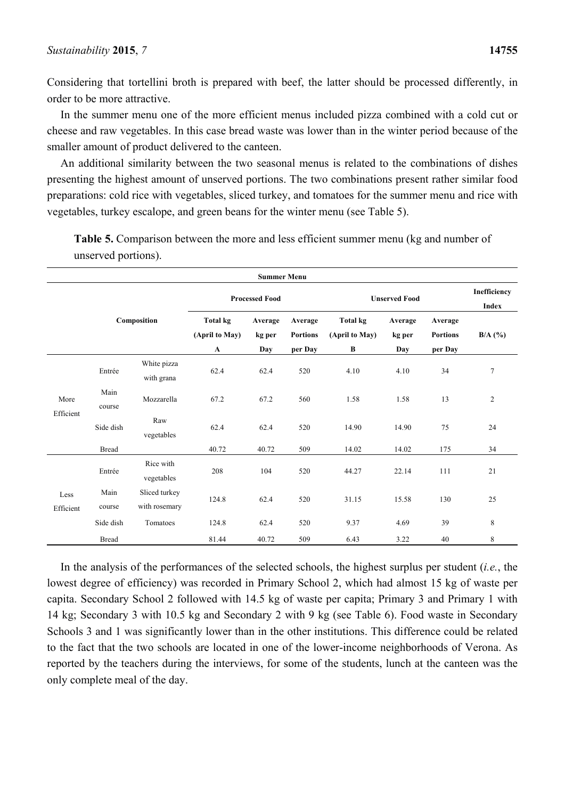Considering that tortellini broth is prepared with beef, the latter should be processed differently, in order to be more attractive.

In the summer menu one of the more efficient menus included pizza combined with a cold cut or cheese and raw vegetables. In this case bread waste was lower than in the winter period because of the smaller amount of product delivered to the canteen.

An additional similarity between the two seasonal menus is related to the combinations of dishes presenting the highest amount of unserved portions. The two combinations present rather similar food preparations: cold rice with vegetables, sliced turkey, and tomatoes for the summer menu and rice with vegetables, turkey escalope, and green beans for the winter menu (see Table 5).

|                   |                       |                                |                                                  | <b>Summer Menu</b>       |                                       |                                        |                          |                                       |                |
|-------------------|-----------------------|--------------------------------|--------------------------------------------------|--------------------------|---------------------------------------|----------------------------------------|--------------------------|---------------------------------------|----------------|
|                   | <b>Processed Food</b> |                                |                                                  |                          | <b>Unserved Food</b>                  | Inefficiency<br>Index                  |                          |                                       |                |
|                   |                       | Composition                    | <b>Total kg</b><br>(April to May)<br>$\mathbf A$ | Average<br>kg per<br>Day | Average<br><b>Portions</b><br>per Day | <b>Total kg</b><br>(April to May)<br>B | Average<br>kg per<br>Day | Average<br><b>Portions</b><br>per Day | $B/A$ (%)      |
|                   | Entrée                | White pizza<br>with grana      | 62.4                                             | 62.4                     | 520                                   | 4.10                                   | 4.10                     | 34                                    | $\tau$         |
| More<br>Efficient | Main<br>course        | Mozzarella                     | 67.2                                             | 67.2                     | 560                                   | 1.58                                   | 1.58                     | 13                                    | $\overline{c}$ |
|                   | Side dish             | Raw<br>vegetables              | 62.4                                             | 62.4                     | 520                                   | 14.90                                  | 14.90                    | 75                                    | 24             |
|                   | <b>Bread</b>          |                                | 40.72                                            | 40.72                    | 509                                   | 14.02                                  | 14.02                    | 175                                   | 34             |
|                   | Entrée                | Rice with<br>vegetables        | 208                                              | 104                      | 520                                   | 44.27                                  | 22.14                    | 111                                   | 21             |
| Less<br>Efficient | Main<br>course        | Sliced turkey<br>with rosemary | 124.8                                            | 62.4                     | 520                                   | 31.15                                  | 15.58                    | 130                                   | 25             |
|                   | Side dish             | Tomatoes                       | 124.8                                            | 62.4                     | 520                                   | 9.37                                   | 4.69                     | 39                                    | 8              |
|                   | <b>Bread</b>          |                                | 81.44                                            | 40.72                    | 509                                   | 6.43                                   | 3.22                     | 40                                    | 8              |

**Table 5.** Comparison between the more and less efficient summer menu (kg and number of unserved portions).

In the analysis of the performances of the selected schools, the highest surplus per student (*i.e.*, the lowest degree of efficiency) was recorded in Primary School 2, which had almost 15 kg of waste per capita. Secondary School 2 followed with 14.5 kg of waste per capita; Primary 3 and Primary 1 with 14 kg; Secondary 3 with 10.5 kg and Secondary 2 with 9 kg (see Table 6). Food waste in Secondary Schools 3 and 1 was significantly lower than in the other institutions. This difference could be related to the fact that the two schools are located in one of the lower-income neighborhoods of Verona. As reported by the teachers during the interviews, for some of the students, lunch at the canteen was the only complete meal of the day.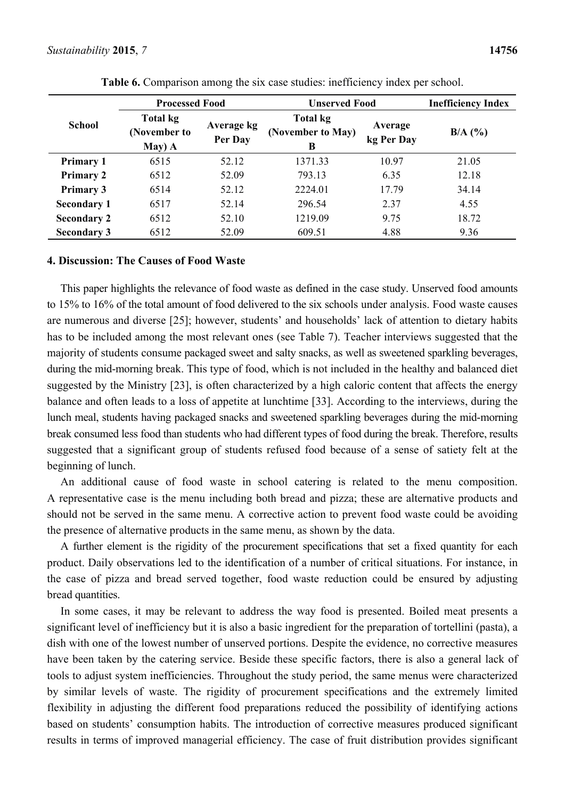|                    | <b>Processed Food</b>                       |                       | <b>Unserved Food</b>                      | <b>Inefficiency Index</b> |           |
|--------------------|---------------------------------------------|-----------------------|-------------------------------------------|---------------------------|-----------|
| <b>School</b>      | <b>Total kg</b><br>(November to<br>$May)$ A | Average kg<br>Per Day | <b>Total kg</b><br>(November to May)<br>B | Average<br>kg Per Day     | $B/A$ (%) |
| <b>Primary 1</b>   | 6515                                        | 52.12                 | 1371.33                                   | 10.97                     | 21.05     |
| <b>Primary 2</b>   | 6512                                        | 52.09                 | 793.13                                    | 6.35                      | 12.18     |
| <b>Primary 3</b>   | 6514                                        | 52.12                 | 2224.01                                   | 17.79                     | 34.14     |
| <b>Secondary 1</b> | 6517                                        | 52.14                 | 296.54                                    | 2.37                      | 4.55      |
| <b>Secondary 2</b> | 6512                                        | 52.10                 | 1219.09                                   | 9.75                      | 18.72     |
| <b>Secondary 3</b> | 6512                                        | 52.09                 | 609.51                                    | 4.88                      | 9.36      |

**Table 6.** Comparison among the six case studies: inefficiency index per school.

## **4. Discussion: The Causes of Food Waste**

This paper highlights the relevance of food waste as defined in the case study. Unserved food amounts to 15% to 16% of the total amount of food delivered to the six schools under analysis. Food waste causes are numerous and diverse [25]; however, students' and households' lack of attention to dietary habits has to be included among the most relevant ones (see Table 7). Teacher interviews suggested that the majority of students consume packaged sweet and salty snacks, as well as sweetened sparkling beverages, during the mid-morning break. This type of food, which is not included in the healthy and balanced diet suggested by the Ministry [23], is often characterized by a high caloric content that affects the energy balance and often leads to a loss of appetite at lunchtime [33]. According to the interviews, during the lunch meal, students having packaged snacks and sweetened sparkling beverages during the mid-morning break consumed less food than students who had different types of food during the break. Therefore, results suggested that a significant group of students refused food because of a sense of satiety felt at the beginning of lunch.

An additional cause of food waste in school catering is related to the menu composition. A representative case is the menu including both bread and pizza; these are alternative products and should not be served in the same menu. A corrective action to prevent food waste could be avoiding the presence of alternative products in the same menu, as shown by the data.

A further element is the rigidity of the procurement specifications that set a fixed quantity for each product. Daily observations led to the identification of a number of critical situations. For instance, in the case of pizza and bread served together, food waste reduction could be ensured by adjusting bread quantities.

In some cases, it may be relevant to address the way food is presented. Boiled meat presents a significant level of inefficiency but it is also a basic ingredient for the preparation of tortellini (pasta), a dish with one of the lowest number of unserved portions. Despite the evidence, no corrective measures have been taken by the catering service. Beside these specific factors, there is also a general lack of tools to adjust system inefficiencies. Throughout the study period, the same menus were characterized by similar levels of waste. The rigidity of procurement specifications and the extremely limited flexibility in adjusting the different food preparations reduced the possibility of identifying actions based on students' consumption habits. The introduction of corrective measures produced significant results in terms of improved managerial efficiency. The case of fruit distribution provides significant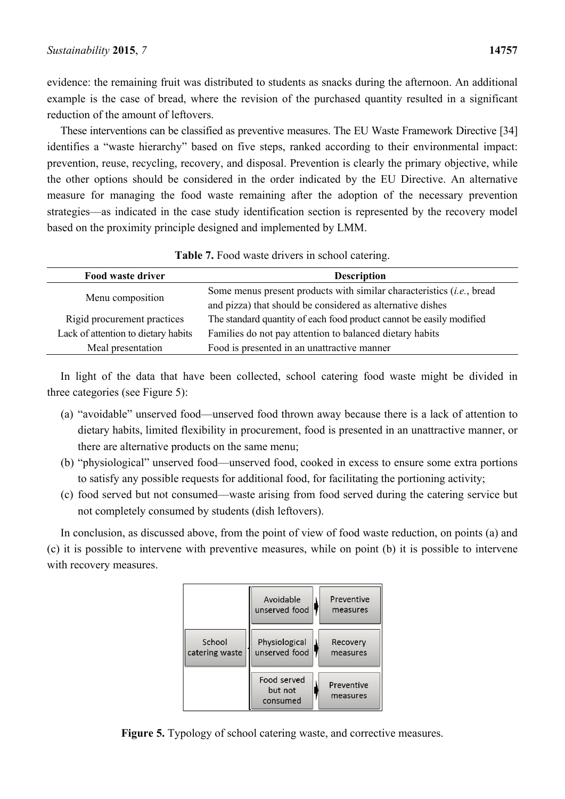evidence: the remaining fruit was distributed to students as snacks during the afternoon. An additional example is the case of bread, where the revision of the purchased quantity resulted in a significant reduction of the amount of leftovers.

These interventions can be classified as preventive measures. The EU Waste Framework Directive [34] identifies a "waste hierarchy" based on five steps, ranked according to their environmental impact: prevention, reuse, recycling, recovery, and disposal. Prevention is clearly the primary objective, while the other options should be considered in the order indicated by the EU Directive. An alternative measure for managing the food waste remaining after the adoption of the necessary prevention strategies––as indicated in the case study identification section is represented by the recovery model based on the proximity principle designed and implemented by LMM.

| Food waste driver                   | <b>Description</b>                                                             |
|-------------------------------------|--------------------------------------------------------------------------------|
| Menu composition                    | Some menus present products with similar characteristics <i>(i.e., bread</i> ) |
|                                     | and pizza) that should be considered as alternative dishes                     |
| Rigid procurement practices         | The standard quantity of each food product cannot be easily modified           |
| Lack of attention to dietary habits | Families do not pay attention to balanced dietary habits                       |
| Meal presentation                   | Food is presented in an unattractive manner                                    |

**Table 7.** Food waste drivers in school catering.

In light of the data that have been collected, school catering food waste might be divided in three categories (see Figure 5):

- (a) "avoidable" unserved food––unserved food thrown away because there is a lack of attention to dietary habits, limited flexibility in procurement, food is presented in an unattractive manner, or there are alternative products on the same menu;
- (b) "physiological" unserved food––unserved food, cooked in excess to ensure some extra portions to satisfy any possible requests for additional food, for facilitating the portioning activity;
- (c) food served but not consumed––waste arising from food served during the catering service but not completely consumed by students (dish leftovers).

In conclusion, as discussed above, from the point of view of food waste reduction, on points (a) and (c) it is possible to intervene with preventive measures, while on point (b) it is possible to intervene with recovery measures.



**Figure 5.** Typology of school catering waste, and corrective measures.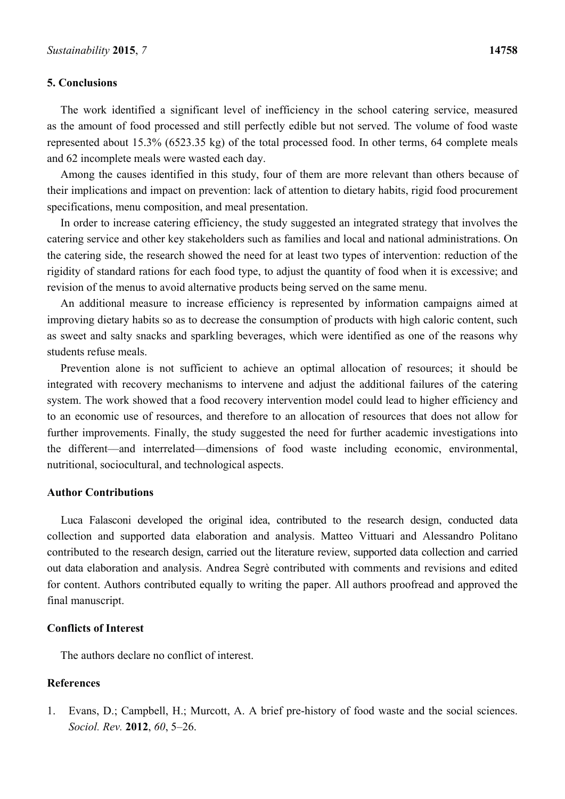## **5. Conclusions**

The work identified a significant level of inefficiency in the school catering service, measured as the amount of food processed and still perfectly edible but not served. The volume of food waste represented about 15.3% (6523.35 kg) of the total processed food. In other terms, 64 complete meals and 62 incomplete meals were wasted each day.

Among the causes identified in this study, four of them are more relevant than others because of their implications and impact on prevention: lack of attention to dietary habits, rigid food procurement specifications, menu composition, and meal presentation.

In order to increase catering efficiency, the study suggested an integrated strategy that involves the catering service and other key stakeholders such as families and local and national administrations. On the catering side, the research showed the need for at least two types of intervention: reduction of the rigidity of standard rations for each food type, to adjust the quantity of food when it is excessive; and revision of the menus to avoid alternative products being served on the same menu.

An additional measure to increase efficiency is represented by information campaigns aimed at improving dietary habits so as to decrease the consumption of products with high caloric content, such as sweet and salty snacks and sparkling beverages, which were identified as one of the reasons why students refuse meals.

Prevention alone is not sufficient to achieve an optimal allocation of resources; it should be integrated with recovery mechanisms to intervene and adjust the additional failures of the catering system. The work showed that a food recovery intervention model could lead to higher efficiency and to an economic use of resources, and therefore to an allocation of resources that does not allow for further improvements. Finally, the study suggested the need for further academic investigations into the different––and interrelated––dimensions of food waste including economic, environmental, nutritional, sociocultural, and technological aspects.

## **Author Contributions**

Luca Falasconi developed the original idea, contributed to the research design, conducted data collection and supported data elaboration and analysis. Matteo Vittuari and Alessandro Politano contributed to the research design, carried out the literature review, supported data collection and carried out data elaboration and analysis. Andrea Segrè contributed with comments and revisions and edited for content. Authors contributed equally to writing the paper. All authors proofread and approved the final manuscript.

# **Conflicts of Interest**

The authors declare no conflict of interest.

# **References**

1. Evans, D.; Campbell, H.; Murcott, A. A brief pre-history of food waste and the social sciences. *Sociol. Rev.* **2012**, *60*, 5–26.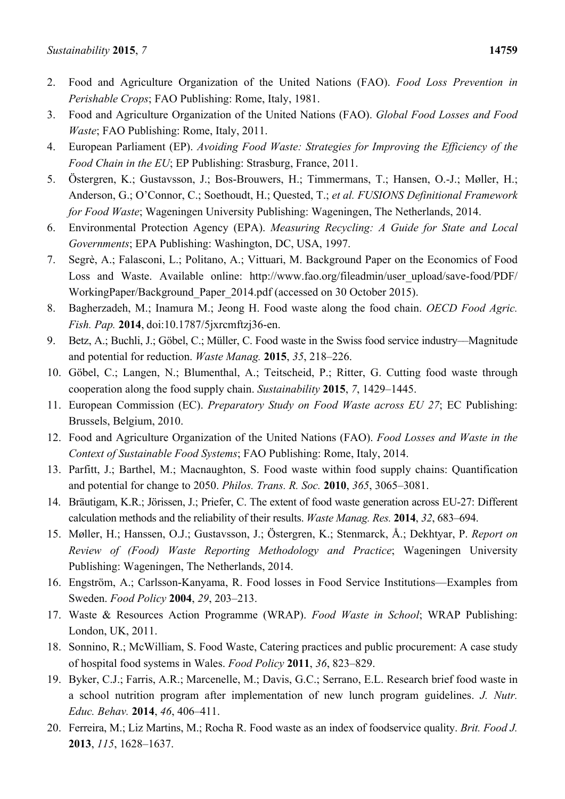- 2. Food and Agriculture Organization of the United Nations (FAO). *Food Loss Prevention in Perishable Crops*; FAO Publishing: Rome, Italy, 1981.
- 3. Food and Agriculture Organization of the United Nations (FAO). *Global Food Losses and Food Waste*; FAO Publishing: Rome, Italy, 2011.
- 4. European Parliament (EP). *Avoiding Food Waste: Strategies for Improving the Efficiency of the Food Chain in the EU*; EP Publishing: Strasburg, France, 2011.
- 5. Östergren, K.; Gustavsson, J.; Bos-Brouwers, H.; Timmermans, T.; Hansen, O.-J.; Møller, H.; Anderson, G.; O'Connor, C.; Soethoudt, H.; Quested, T.; *et al. FUSIONS Definitional Framework for Food Waste*; Wageningen University Publishing: Wageningen, The Netherlands, 2014.
- 6. Environmental Protection Agency (EPA). *Measuring Recycling: A Guide for State and Local Governments*; EPA Publishing: Washington, DC, USA, 1997.
- 7. Segrè, A.; Falasconi, L.; Politano, A.; Vittuari, M. Background Paper on the Economics of Food Loss and Waste. Available online: http://www.fao.org/fileadmin/user\_upload/save-food/PDF/ WorkingPaper/Background\_Paper\_2014.pdf (accessed on 30 October 2015).
- 8. Bagherzadeh, M.; Inamura M.; Jeong H. Food waste along the food chain. *OECD Food Agric. Fish. Pap.* **2014**, doi:10.1787/5jxrcmftzj36-en.
- 9. Betz, A.; Buchli, J.; Göbel, C.; Müller, C. Food waste in the Swiss food service industry––Magnitude and potential for reduction. *Waste Manag.* **2015**, *35*, 218–226.
- 10. Göbel, C.; Langen, N.; Blumenthal, A.; Teitscheid, P.; Ritter, G. Cutting food waste through cooperation along the food supply chain. *Sustainability* **2015**, *7*, 1429–1445.
- 11. European Commission (EC). *Preparatory Study on Food Waste across EU 27*; EC Publishing: Brussels, Belgium, 2010.
- 12. Food and Agriculture Organization of the United Nations (FAO). *Food Losses and Waste in the Context of Sustainable Food Systems*; FAO Publishing: Rome, Italy, 2014.
- 13. Parfitt, J.; Barthel, M.; Macnaughton, S. Food waste within food supply chains: Quantification and potential for change to 2050. *Philos. Trans. R. Soc.* **2010**, *365*, 3065–3081.
- 14. Bräutigam, K.R.; Jörissen, J.; Priefer, C. The extent of food waste generation across EU-27: Different calculation methods and the reliability of their results. *Waste Manag. Res.* **2014**, *32*, 683–694.
- 15. Møller, H.; Hanssen, O.J.; Gustavsson, J.; Östergren, K.; Stenmarck, Å.; Dekhtyar, P. *Report on Review of (Food) Waste Reporting Methodology and Practice*; Wageningen University Publishing: Wageningen, The Netherlands, 2014.
- 16. Engström, A.; Carlsson-Kanyama, R. Food losses in Food Service Institutions––Examples from Sweden. *Food Policy* **2004**, *29*, 203–213.
- 17. Waste & Resources Action Programme (WRAP). *Food Waste in School*; WRAP Publishing: London, UK, 2011.
- 18. Sonnino, R.; McWilliam, S. Food Waste, Catering practices and public procurement: A case study of hospital food systems in Wales. *Food Policy* **2011**, *36*, 823–829.
- 19. Byker, C.J.; Farris, A.R.; Marcenelle, M.; Davis, G.C.; Serrano, E.L. Research brief food waste in a school nutrition program after implementation of new lunch program guidelines. *J. Nutr. Educ. Behav.* **2014**, *46*, 406–411.
- 20. Ferreira, M.; Liz Martins, M.; Rocha R. Food waste as an index of foodservice quality. *Brit. Food J.* **2013**, *115*, 1628–1637.